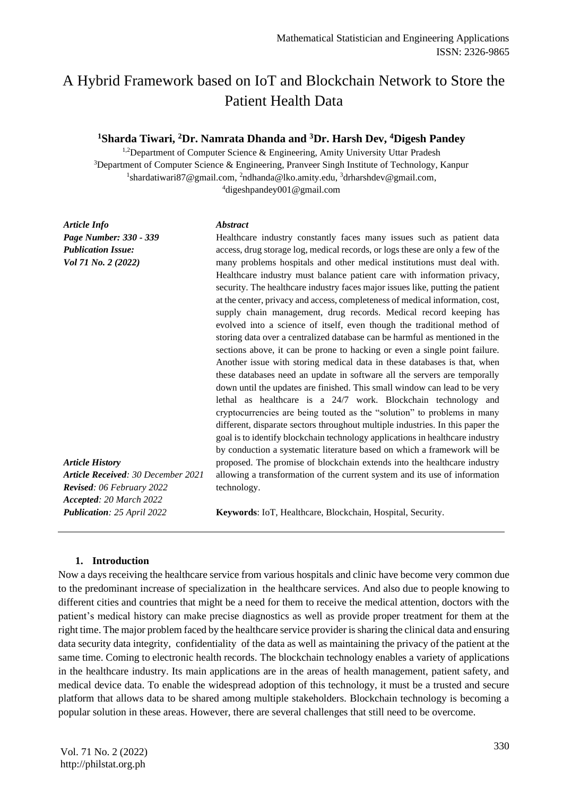# A Hybrid Framework based on IoT and Blockchain Network to Store the Patient Health Data

# **<sup>1</sup>Sharda Tiwari, <sup>2</sup>Dr. Namrata Dhanda and <sup>3</sup>Dr. Harsh Dev, <sup>4</sup>Digesh Pandey**

<sup>1,2</sup>Department of Computer Science & Engineering, Amity University Uttar Pradesh <sup>3</sup>Department of Computer Science & Engineering, Pranveer Singh Institute of Technology, Kanpur  $^1$ shardatiwari87@gmail.com, <sup>2</sup>ndhanda@lko.amity.edu, <sup>3</sup>drharshdev@gmail.com, <sup>4</sup>digeshpandey001@gmail.com

*Article Info Page Number: 330 - 339 Publication Issue: Vol 71 No. 2 (2022)*

#### *Abstract*

*Article History Article Received: 30 December 2021 Revised: 06 February 2022 Accepted: 20 March 2022* Healthcare industry constantly faces many issues such as patient data access, drug storage log, medical records, or logs these are only a few of the many problems hospitals and other medical institutions must deal with. Healthcare industry must balance patient care with information privacy, security. The healthcare industry faces major issues like, putting the patient at the center, privacy and access, completeness of medical information, cost, supply chain management, drug records. Medical record keeping has evolved into a science of itself, even though the traditional method of storing data over a centralized database can be harmful as mentioned in the sections above, it can be prone to hacking or even a single point failure. Another issue with storing medical data in these databases is that, when these databases need an update in software all the servers are temporally down until the updates are finished. This small window can lead to be very lethal as healthcare is a 24/7 work. Blockchain technology and cryptocurrencies are being touted as the "solution" to problems in many different, disparate sectors throughout multiple industries. In this paper the goal is to identify blockchain technology applications in healthcare industry by conduction a systematic literature based on which a framework will be proposed. The promise of blockchain extends into the healthcare industry allowing a transformation of the current system and its use of information technology.

**Keywords**: IoT, Healthcare, Blockchain, Hospital, Security.

#### **1. Introduction**

*Publication: 25 April 2022*

Now a days receiving the healthcare service from various hospitals and clinic have become very common due to the predominant increase of specialization in the healthcare services. And also due to people knowing to different cities and countries that might be a need for them to receive the medical attention, doctors with the patient's medical history can make precise diagnostics as well as provide proper treatment for them at the right time. The major problem faced by the healthcare service provider is sharing the clinical data and ensuring data security data integrity, confidentiality of the data as well as maintaining the privacy of the patient at the same time. Coming to electronic health records. The blockchain technology enables a variety of applications in the healthcare industry. Its main applications are in the areas of health management, patient safety, and medical device data. To enable the widespread adoption of this technology, it must be a trusted and secure platform that allows data to be shared among multiple stakeholders. Blockchain technology is becoming a popular solution in these areas. However, there are several challenges that still need to be overcome.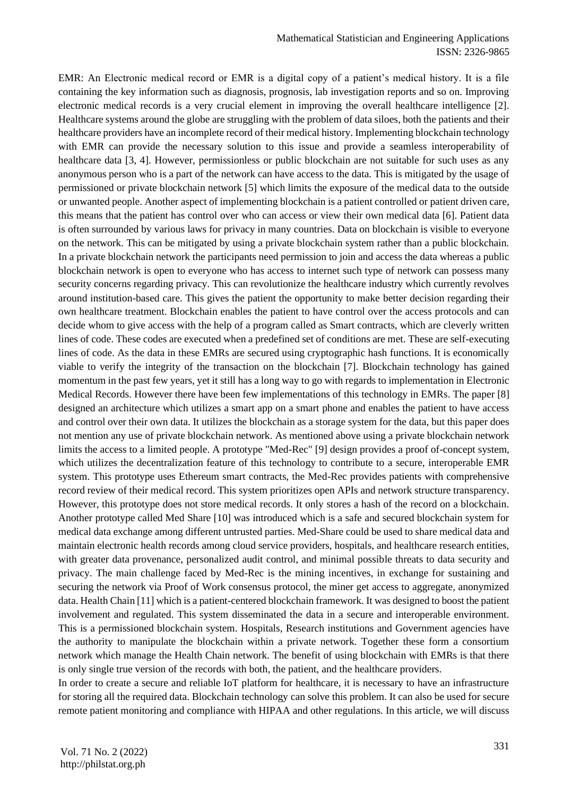EMR: An Electronic medical record or EMR is a digital copy of a patient's medical history. It is a file containing the key information such as diagnosis, prognosis, lab investigation reports and so on. Improving electronic medical records is a very crucial element in improving the overall healthcare intelligence [2]. Healthcare systems around the globe are struggling with the problem of data siloes, both the patients and their healthcare providers have an incomplete record of their medical history. Implementing blockchain technology with EMR can provide the necessary solution to this issue and provide a seamless interoperability of healthcare data [3, 4]. However, permissionless or public blockchain are not suitable for such uses as any anonymous person who is a part of the network can have access to the data. This is mitigated by the usage of permissioned or private blockchain network [5] which limits the exposure of the medical data to the outside or unwanted people. Another aspect of implementing blockchain is a patient controlled or patient driven care, this means that the patient has control over who can access or view their own medical data [6]. Patient data is often surrounded by various laws for privacy in many countries. Data on blockchain is visible to everyone on the network. This can be mitigated by using a private blockchain system rather than a public blockchain. In a private blockchain network the participants need permission to join and access the data whereas a public blockchain network is open to everyone who has access to internet such type of network can possess many security concerns regarding privacy. This can revolutionize the healthcare industry which currently revolves around institution-based care. This gives the patient the opportunity to make better decision regarding their own healthcare treatment. Blockchain enables the patient to have control over the access protocols and can decide whom to give access with the help of a program called as Smart contracts, which are cleverly written lines of code. These codes are executed when a predefined set of conditions are met. These are self-executing lines of code. As the data in these EMRs are secured using cryptographic hash functions. It is economically viable to verify the integrity of the transaction on the blockchain [7]. Blockchain technology has gained momentum in the past few years, yet it still has a long way to go with regards to implementation in Electronic Medical Records. However there have been few implementations of this technology in EMRs. The paper [8] designed an architecture which utilizes a smart app on a smart phone and enables the patient to have access and control over their own data. It utilizes the blockchain as a storage system for the data, but this paper does not mention any use of private blockchain network. As mentioned above using a private blockchain network limits the access to a limited people. A prototype "Med-Rec" [9] design provides a proof of-concept system, which utilizes the decentralization feature of this technology to contribute to a secure, interoperable EMR system. This prototype uses Ethereum smart contracts, the Med-Rec provides patients with comprehensive record review of their medical record. This system prioritizes open APIs and network structure transparency. However, this prototype does not store medical records. It only stores a hash of the record on a blockchain. Another prototype called Med Share [10] was introduced which is a safe and secured blockchain system for medical data exchange among different untrusted parties. Med-Share could be used to share medical data and maintain electronic health records among cloud service providers, hospitals, and healthcare research entities, with greater data provenance, personalized audit control, and minimal possible threats to data security and privacy. The main challenge faced by Med-Rec is the mining incentives, in exchange for sustaining and securing the network via Proof of Work consensus protocol, the miner get access to aggregate, anonymized data. Health Chain [11] which is a patient-centered blockchain framework. It was designed to boost the patient involvement and regulated. This system disseminated the data in a secure and interoperable environment. This is a permissioned blockchain system. Hospitals, Research institutions and Government agencies have the authority to manipulate the blockchain within a private network. Together these form a consortium network which manage the Health Chain network. The benefit of using blockchain with EMRs is that there is only single true version of the records with both, the patient, and the healthcare providers.

In order to create a secure and reliable IoT platform for healthcare, it is necessary to have an infrastructure for storing all the required data. Blockchain technology can solve this problem. It can also be used for secure remote patient monitoring and compliance with HIPAA and other regulations. In this article, we will discuss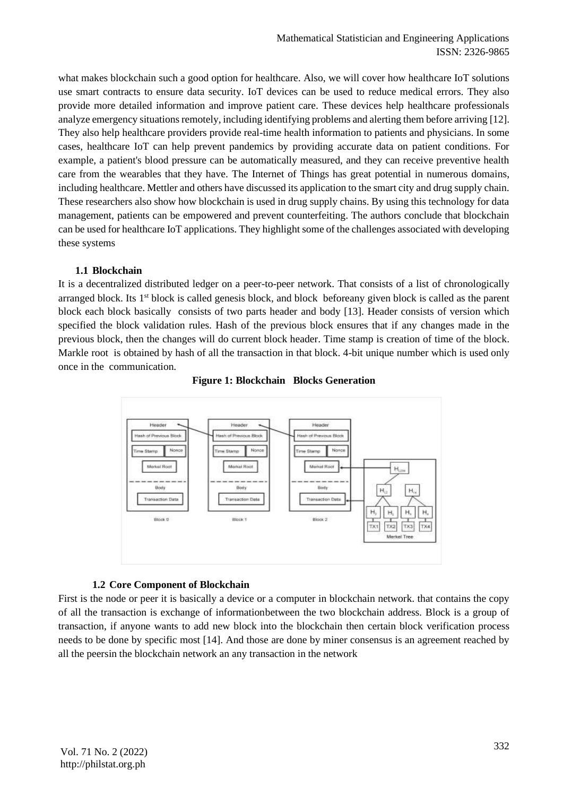what makes blockchain such a good option for healthcare. Also, we will cover how healthcare IoT solutions use smart contracts to ensure data security. IoT devices can be used to reduce medical errors. They also provide more detailed information and improve patient care. These devices help healthcare professionals analyze emergency situations remotely, including identifying problems and alerting them before arriving [12]. They also help healthcare providers provide real-time health information to patients and physicians. In some cases, healthcare IoT can help prevent pandemics by providing accurate data on patient conditions. For example, a patient's blood pressure can be automatically measured, and they can receive preventive health care from the wearables that they have. The Internet of Things has great potential in numerous domains, including healthcare. Mettler and others have discussed its application to the smart city and drug supply chain. These researchers also show how blockchain is used in drug supply chains. By using this technology for data management, patients can be empowered and prevent counterfeiting. The authors conclude that blockchain can be used for healthcare IoT applications. They highlight some of the challenges associated with developing these systems

## **1.1 Blockchain**

It is a decentralized distributed ledger on a peer-to-peer network. That consists of a list of chronologically arranged block. Its 1<sup>st</sup> block is called genesis block, and block beforeany given block is called as the parent block each block basically consists of two parts header and body [13]. Header consists of version which specified the block validation rules. Hash of the previous block ensures that if any changes made in the previous block, then the changes will do current block header. Time stamp is creation of time of the block. Markle root is obtained by hash of all the transaction in that block. 4-bit unique number which is used only once in the communication.



**Figure 1: Blockchain Blocks Generation**

## **1.2 Core Component of Blockchain**

First is the node or peer it is basically a device or a computer in blockchain network. that contains the copy of all the transaction is exchange of informationbetween the two blockchain address. Block is a group of transaction, if anyone wants to add new block into the blockchain then certain block verification process needs to be done by specific most [14]. And those are done by miner consensus is an agreement reached by all the peersin the blockchain network an any transaction in the network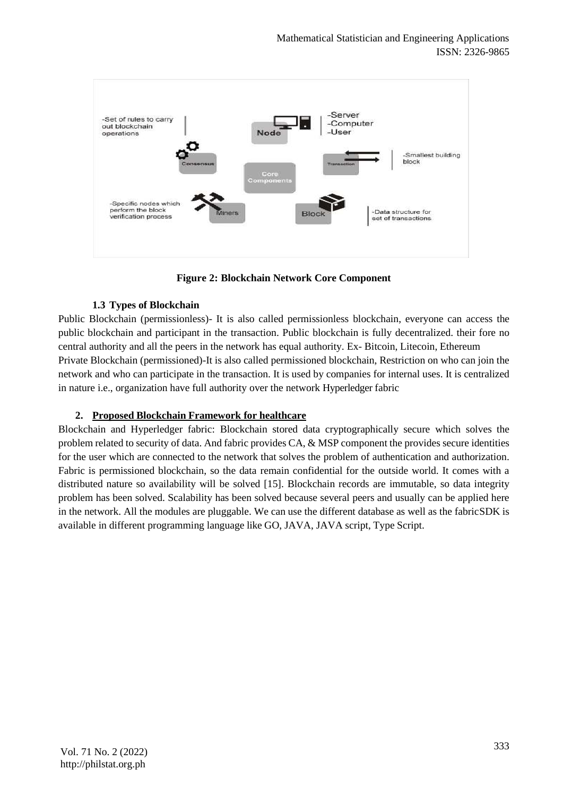

**Figure 2: Blockchain Network Core Component**

## **1.3 Types of Blockchain**

Public Blockchain (permissionless)- It is also called permissionless blockchain, everyone can access the public blockchain and participant in the transaction. Public blockchain is fully decentralized. their fore no central authority and all the peers in the network has equal authority. Ex- Bitcoin, Litecoin, Ethereum Private Blockchain (permissioned)-It is also called permissioned blockchain, Restriction on who can join the network and who can participate in the transaction. It is used by companies for internal uses. It is centralized in nature i.e., organization have full authority over the network Hyperledger fabric

## **2. Proposed Blockchain Framework for healthcare**

Blockchain and Hyperledger fabric: Blockchain stored data cryptographically secure which solves the problem related to security of data. And fabric provides CA, & MSP component the provides secure identities for the user which are connected to the network that solves the problem of authentication and authorization. Fabric is permissioned blockchain, so the data remain confidential for the outside world. It comes with a distributed nature so availability will be solved [15]. Blockchain records are immutable, so data integrity problem has been solved. Scalability has been solved because several peers and usually can be applied here in the network. All the modules are pluggable. We can use the different database as well as the fabricSDK is available in different programming language like GO, JAVA, JAVA script, Type Script.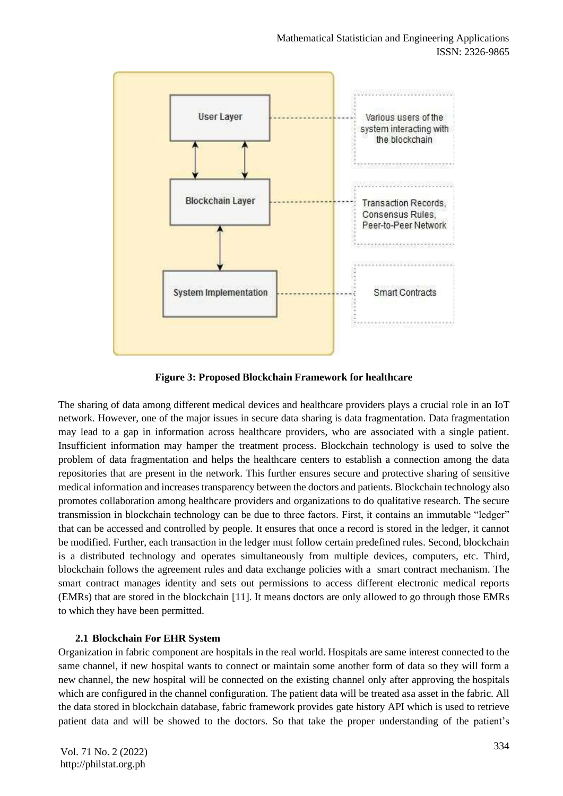

**Figure 3: Proposed Blockchain Framework for healthcare**

The sharing of data among different medical devices and healthcare providers plays a crucial role in an IoT network. However, one of the major issues in secure data sharing is data fragmentation. Data fragmentation may lead to a gap in information across healthcare providers, who are associated with a single patient. Insufficient information may hamper the treatment process. Blockchain technology is used to solve the problem of data fragmentation and helps the healthcare centers to establish a connection among the data repositories that are present in the network. This further ensures secure and protective sharing of sensitive medical information and increases transparency between the doctors and patients. Blockchain technology also promotes collaboration among healthcare providers and organizations to do qualitative research. The secure transmission in blockchain technology can be due to three factors. First, it contains an immutable "ledger" that can be accessed and controlled by people. It ensures that once a record is stored in the ledger, it cannot be modified. Further, each transaction in the ledger must follow certain predefined rules. Second, blockchain is a distributed technology and operates simultaneously from multiple devices, computers, etc. Third, blockchain follows the agreement rules and data exchange policies with a smart contract mechanism. The smart contract manages identity and sets out permissions to access different electronic medical reports (EMRs) that are stored in the blockchain [11]. It means doctors are only allowed to go through those EMRs to which they have been permitted.

## **2.1 Blockchain For EHR System**

Organization in fabric component are hospitals in the real world. Hospitals are same interest connected to the same channel, if new hospital wants to connect or maintain some another form of data so they will form a new channel, the new hospital will be connected on the existing channel only after approving the hospitals which are configured in the channel configuration. The patient data will be treated asa asset in the fabric. All the data stored in blockchain database, fabric framework provides gate history API which is used to retrieve patient data and will be showed to the doctors. So that take the proper understanding of the patient's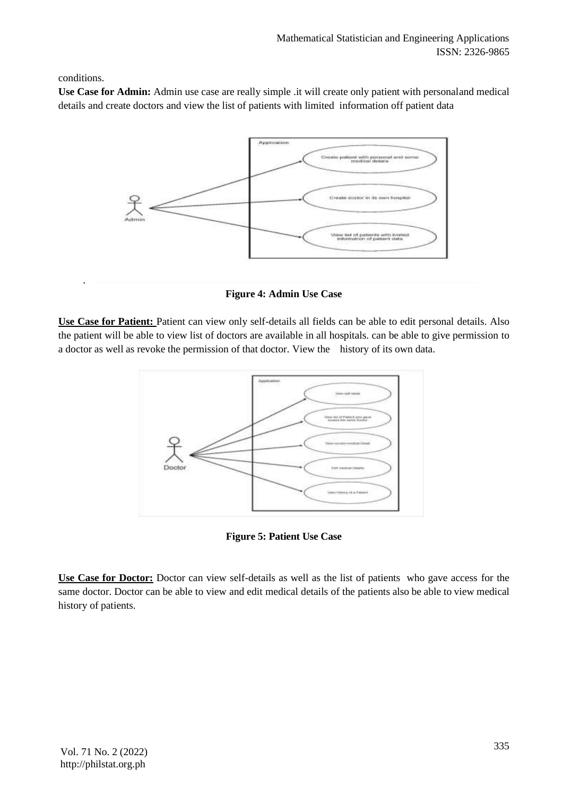conditions.

.

**Use Case for Admin:** Admin use case are really simple .it will create only patient with personaland medical details and create doctors and view the list of patients with limited information off patient data



**Figure 4: Admin Use Case**

**Use Case for Patient:** Patient can view only self-details all fields can be able to edit personal details. Also the patient will be able to view list of doctors are available in all hospitals. can be able to give permission to a doctor as well as revoke the permission of that doctor. View the history of its own data.



**Figure 5: Patient Use Case**

**Use Case for Doctor:** Doctor can view self-details as well as the list of patients who gave access for the same doctor. Doctor can be able to view and edit medical details of the patients also be able to view medical history of patients.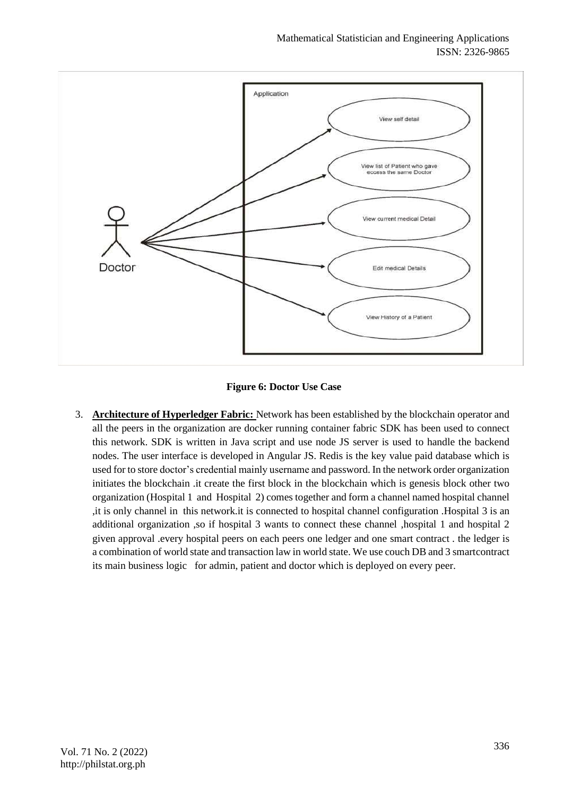

**Figure 6: Doctor Use Case**

3. **Architecture of Hyperledger Fabric:** Network has been established by the blockchain operator and all the peers in the organization are docker running container fabric SDK has been used to connect this network. SDK is written in Java script and use node JS server is used to handle the backend nodes. The user interface is developed in Angular JS. Redis is the key value paid database which is used for to store doctor's credential mainly username and password. In the network order organization initiates the blockchain .it create the first block in the blockchain which is genesis block other two organization (Hospital 1 and Hospital 2) comes together and form a channel named hospital channel ,it is only channel in this network.it is connected to hospital channel configuration .Hospital 3 is an additional organization ,so if hospital 3 wants to connect these channel ,hospital 1 and hospital 2 given approval .every hospital peers on each peers one ledger and one smart contract . the ledger is a combination of world state and transaction law in world state. We use couch DB and 3 smartcontract its main business logic for admin, patient and doctor which is deployed on every peer.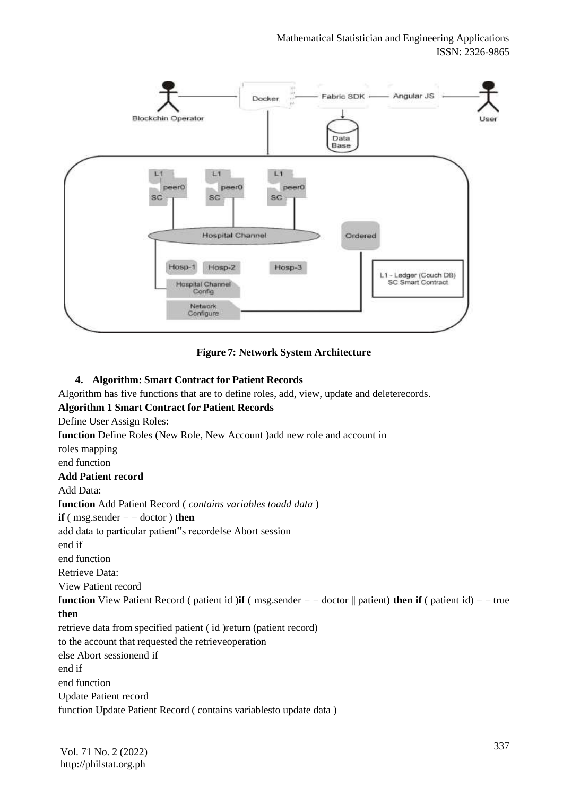

**Figure 7: Network System Architecture**

# **4. Algorithm: Smart Contract for Patient Records**

Algorithm has five functions that are to define roles, add, view, update and deleterecords. **Algorithm 1 Smart Contract for Patient Records** Define User Assign Roles: **function** Define Roles (New Role, New Account )add new role and account in roles mapping end function **Add Patient record** Add Data: **function** Add Patient Record ( *contains variables toadd data* ) **if** ( $msg.sender = doctor$ ) **then** add data to particular patient"s recordelse Abort session end if end function Retrieve Data: View Patient record **function** View Patient Record ( patient id )**if** ( msg.sender  $=$   $=$  doctor  $\parallel$  patient) **then if** ( patient id)  $=$   $=$  true **then** retrieve data from specified patient ( id )return (patient record) to the account that requested the retrieveoperation else Abort sessionend if end if end function Update Patient record function Update Patient Record ( contains variablesto update data )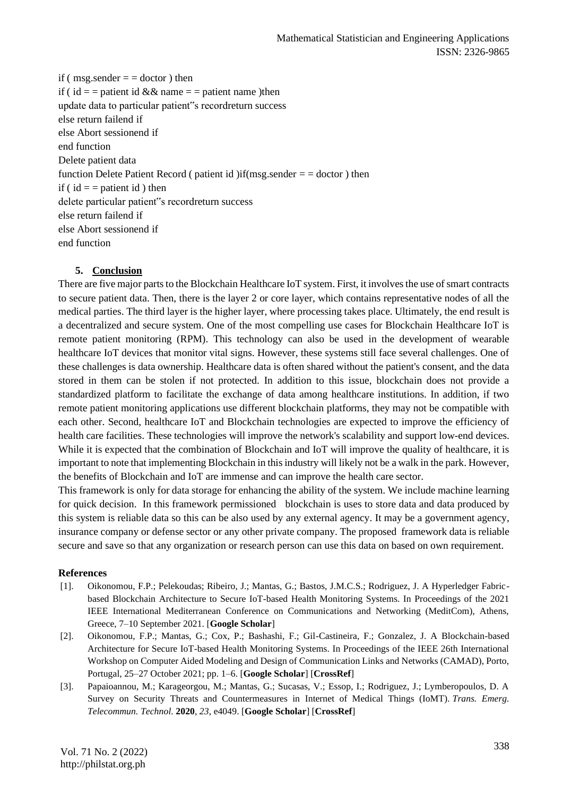if ( $msg.sender = doctor$ ) then if (  $id =$  = patient id && name = = patient name )then update data to particular patient"s recordreturn success else return failend if else Abort sessionend if end function Delete patient data function Delete Patient Record ( patient id )if(msg.sender  $=$   $=$  doctor ) then if ( $id =$  = patient id) then delete particular patient"s recordreturn success else return failend if else Abort sessionend if end function

#### **5. Conclusion**

There are five major parts to the Blockchain Healthcare IoT system. First, it involves the use of smart contracts to secure patient data. Then, there is the layer 2 or core layer, which contains representative nodes of all the medical parties. The third layer is the higher layer, where processing takes place. Ultimately, the end result is a decentralized and secure system. One of the most compelling use cases for Blockchain Healthcare IoT is remote patient monitoring (RPM). This technology can also be used in the development of wearable healthcare IoT devices that monitor vital signs. However, these systems still face several challenges. One of these challenges is data ownership. Healthcare data is often shared without the patient's consent, and the data stored in them can be stolen if not protected. In addition to this issue, blockchain does not provide a standardized platform to facilitate the exchange of data among healthcare institutions. In addition, if two remote patient monitoring applications use different blockchain platforms, they may not be compatible with each other. Second, healthcare IoT and Blockchain technologies are expected to improve the efficiency of health care facilities. These technologies will improve the network's scalability and support low-end devices. While it is expected that the combination of Blockchain and IoT will improve the quality of healthcare, it is important to note that implementing Blockchain in this industry will likely not be a walk in the park. However, the benefits of Blockchain and IoT are immense and can improve the health care sector.

This framework is only for data storage for enhancing the ability of the system. We include machine learning for quick decision. In this framework permissioned blockchain is uses to store data and data produced by this system is reliable data so this can be also used by any external agency. It may be a government agency, insurance company or defense sector or any other private company. The proposed framework data is reliable secure and save so that any organization or research person can use this data on based on own requirement.

#### **References**

- [1]. Oikonomou, F.P.; Pelekoudas; Ribeiro, J.; Mantas, G.; Bastos, J.M.C.S.; Rodriguez, J. A Hyperledger Fabricbased Blockchain Architecture to Secure IoT-based Health Monitoring Systems. In Proceedings of the 2021 IEEE International Mediterranean Conference on Communications and Networking (MeditCom), Athens, Greece, 7–10 September 2021. [**Google Scholar**]
- [2]. Oikonomou, F.P.; Mantas, G.; Cox, P.; Bashashi, F.; Gil-Castineira, F.; Gonzalez, J. A Blockchain-based Architecture for Secure IoT-based Health Monitoring Systems. In Proceedings of the IEEE 26th International Workshop on Computer Aided Modeling and Design of Communication Links and Networks (CAMAD), Porto, Portugal, 25–27 October 2021; pp. 1–6. [**Google Scholar**] [**CrossRef**]
- [3]. Papaioannou, M.; Karageorgou, M.; Mantas, G.; Sucasas, V.; Essop, I.; Rodriguez, J.; Lymberopoulos, D. A Survey on Security Threats and Countermeasures in Internet of Medical Things (IoMT). *Trans. Emerg. Telecommun. Technol.* **2020**, *23*, e4049. [**Google Scholar**] [**CrossRef**]